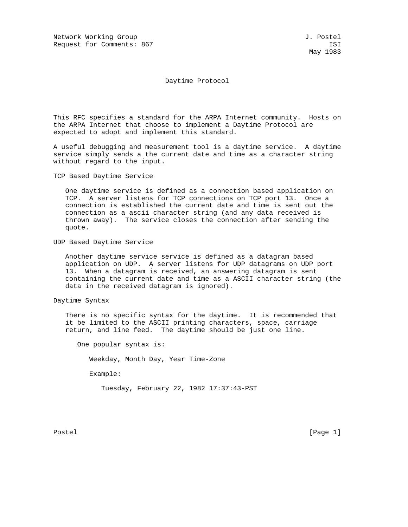Network Working Group and Society and Society and Society and Society and J. Postel Request for Comments: 867 ISI

May 1983

Daytime Protocol

This RFC specifies a standard for the ARPA Internet community. Hosts on the ARPA Internet that choose to implement a Daytime Protocol are expected to adopt and implement this standard.

A useful debugging and measurement tool is a daytime service. A daytime service simply sends a the current date and time as a character string without regard to the input.

TCP Based Daytime Service

 One daytime service is defined as a connection based application on TCP. A server listens for TCP connections on TCP port 13. Once a connection is established the current date and time is sent out the connection as a ascii character string (and any data received is thrown away). The service closes the connection after sending the quote.

UDP Based Daytime Service

 Another daytime service service is defined as a datagram based application on UDP. A server listens for UDP datagrams on UDP port 13. When a datagram is received, an answering datagram is sent containing the current date and time as a ASCII character string (the data in the received datagram is ignored).

Daytime Syntax

 There is no specific syntax for the daytime. It is recommended that it be limited to the ASCII printing characters, space, carriage return, and line feed. The daytime should be just one line.

One popular syntax is:

Weekday, Month Day, Year Time-Zone

Example:

Tuesday, February 22, 1982 17:37:43-PST

Postel [Page 1] [Page 1]